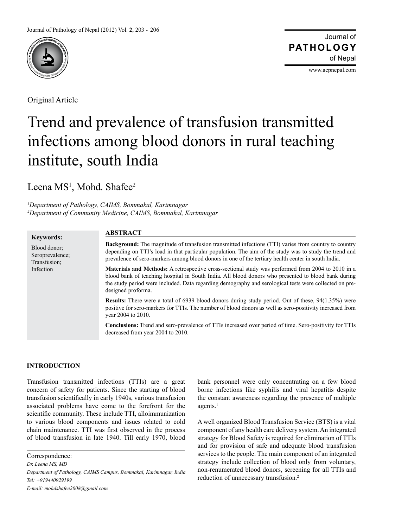

Original Article

Journal of of Nepal **PATHOLOGY**

www.acpnepal.com

# Trend and prevalence of transfusion transmitted infections among blood donors in rural teaching institute, south India

Leena MS<sup>1</sup>, Mohd. Shafee<sup>2</sup>

*1 Department of Pathology, CAIMS, Bommakal, Karimnagar 2 Department of Community Medicine, CAIMS, Bommakal, Karimnagar*

# **Keywords:**

Blood donor; Seroprevalence; Transfusion; Infection

# **ABSTRACT**

**Background:** The magnitude of transfusion transmitted infections (TTI) varies from country to country depending on TTI's load in that particular population. The aim of the study was to study the trend and prevalence of sero-markers among blood donors in one of the tertiary health center in south India.

**Materials and Methods:** A retrospective cross-sectional study was performed from 2004 to 2010 in a blood bank of teaching hospital in South India. All blood donors who presented to blood bank during the study period were included. Data regarding demography and serological tests were collected on predesigned proforma.

**Results:** There were a total of 6939 blood donors during study period. Out of these, 94(1.35%) were positive for sero-markers for TTIs. The number of blood donors as well as sero-positivity increased from year 2004 to 2010.

**Conclusions:** Trend and sero-prevalence of TTIs increased over period of time. Sero-positivity for TTIs decreased from year 2004 to 2010.

# **INTRODUCTION**

Transfusion transmitted infections (TTIs) are a great concern of safety for patients. Since the starting of blood transfusion scientifically in early 1940s, various transfusion associated problems have come to the forefront for the scientific community. These include TTI, alloimmunization to various blood components and issues related to cold chain maintenance. TTI was first observed in the process of blood transfusion in late 1940. Till early 1970, blood

*E-mail: mohdshafee2008@gmail.com*

bank personnel were only concentrating on a few blood borne infections like syphilis and viral hepatitis despite the constant awareness regarding the presence of multiple  $a$ gents.<sup>1</sup>

A well organized Blood Transfusion Service (BTS) is a vital component of any health care delivery system. An integrated strategy for Blood Safety is required for elimination of TTIs and for provision of safe and adequate blood transfusion services to the people. The main component of an integrated strategy include collection of blood only from voluntary, non-renumerated blood donors, screening for all TTIs and reduction of unnecessary transfusion.<sup>2</sup>

Correspondence:

*Dr. Leena MS, MD*

*Department of Pathology, CAIMS Campus, Bommakal, Karimnagar, India Tel: +919440929199*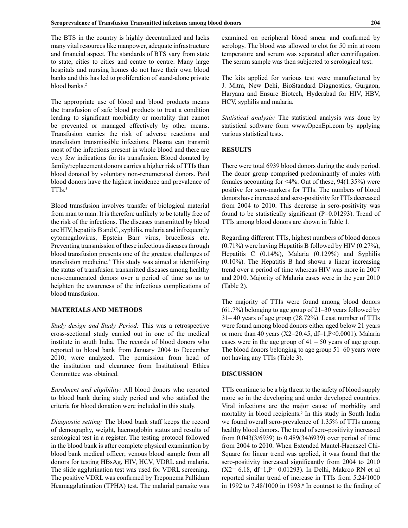The BTS in the country is highly decentralized and lacks many vital resources like manpower, adequate infrastructure and financial aspect. The standards of BTS vary from state to state, cities to cities and centre to centre. Many large hospitals and nursing homes do not have their own blood banks and this has led to proliferation of stand-alone private blood banks.<sup>2</sup>

The appropriate use of blood and blood products means the transfusion of safe blood products to treat a condition leading to significant morbidity or mortality that cannot be prevented or managed effectively by other means. Transfusion carries the risk of adverse reactions and transfusion transmissible infections. Plasma can transmit most of the infections present in whole blood and there are very few indications for its transfusion. Blood donated by family/replacement donors carries a higher risk of TTIs than blood donated by voluntary non-renumerated donors. Paid blood donors have the highest incidence and prevalence of TTIs.<sup>3</sup>

Blood transfusion involves transfer of biological material from man to man. It is therefore unlikely to be totally free of the risk of the infections. The diseases transmitted by blood are HIV, hepatitis B and C, syphilis, malaria and infrequently cytomegalovirus, Epstein Barr virus, brucellosis etc. Preventing transmission of these infectious diseases through blood transfusion presents one of the greatest challenges of transfusion medicine.4 This study was aimed at identifying the status of transfusion transmitted diseases among healthy non-renumerated donors over a period of time so as to heighten the awareness of the infectious complications of blood transfusion.

#### **MATERIALS AND METHODS**

*Study design and Study Period:* This was a retrospective cross-sectional study carried out in one of the medical institute in south India. The records of blood donors who reported to blood bank from January 2004 to December 2010; were analyzed. The permission from head of the institution and clearance from Institutional Ethics Committee was obtained.

*Enrolment and eligibility:* All blood donors who reported to blood bank during study period and who satisfied the criteria for blood donation were included in this study.

*Diagnostic setting:* The blood bank staff keeps the record of demography, weight, haemoglobin status and results of serological test in a register. The testing protocol followed in the blood bank is after complete physical examination by blood bank medical officer; venous blood sample from all donors for testing HBsAg, HIV, HCV, VDRL and malaria. The slide agglutination test was used for VDRL screening. The positive VDRL was confirmed by Treponema Pallidum Heamagglutination (TPHA) test. The malarial parasite was

examined on peripheral blood smear and confirmed by serology. The blood was allowed to clot for 50 min at room temperature and serum was separated after centrifugation. The serum sample was then subjected to serological test.

The kits applied for various test were manufactured by J. Mitra, New Dehi, BioStandard Diagnostics, Gurgaon, Haryana and Ensure Biotech, Hyderabad for HIV, HBV, HCV, syphilis and malaria.

*Statistical analysis:* The statistical analysis was done by statistical software form www.OpenEpi.com by applying various statistical tests.

# **RESULTS**

There were total 6939 blood donors during the study period. The donor group comprised predominantly of males with females accounting for <4%. Out of these, 94(1.35%) were positive for sero-markers for TTIs. The numbers of blood donors have increased and sero-positivity for TTIs decreased from 2004 to 2010. This decrease in sero-positivity was found to be statistically significant (P=0.01293). Trend of TTIs among blood donors are shown in Table 1.

Regarding different TTIs, highest numbers of blood donors (0.71%) were having Hepatitis B followed by HIV (0.27%), Hepatitis C (0.14%), Malaria (0.129%) and Syphilis  $(0.10\%)$ . The Hepatitis B had shown a linear increasing trend over a period of time whereas HIV was more in 2007 and 2010. Majority of Malaria cases were in the year 2010 (Table 2).

The majority of TTIs were found among blood donors (61.7%) belonging to age group of 21–30 years followed by 31– 40 years of age group (28.72%). Least number of TTIs were found among blood donors either aged below 21 years or more than 40 years (X2=20.45, df=1,P<0.0001). Malaria cases were in the age group of  $41 - 50$  years of age group. The blood donors belonging to age group 51–60 years were not having any TTIs (Table 3).

## **DISCUSSION**

TTIs continue to be a big threat to the safety of blood supply more so in the developing and under developed countries. Viral infections are the major cause of morbidity and mortality in blood recipients.<sup>5</sup> In this study in South India we found overall sero-prevalence of 1.35% of TTIs among healthy blood donors. The trend of sero-positivity increased from 0.043(3/6939) to 0.489(34/6939) over period of time from 2004 to 2010. When Extended Mantel-Haenszel Chi-Square for linear trend was applied, it was found that the sero-positivity increased significantly from 2004 to 2010 (X2= 6.18, df=1,P= 0.01293). In Delhi, Makroo RN et al reported similar trend of increase in TTIs from 5.24/1000 in 1992 to  $7.48/1000$  in 1993.<sup>6</sup> In contrast to the finding of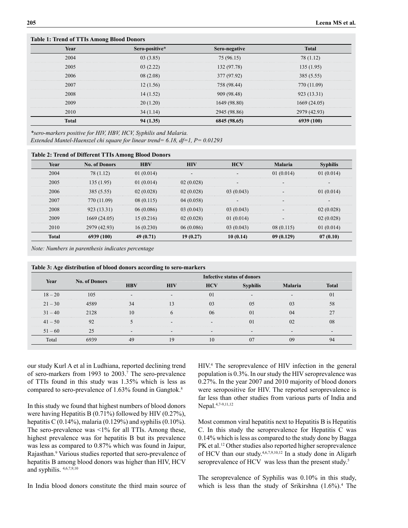# **Table 1: Trend of TTIs Among Blood Donors Year Sero-positive\* Sero-negative Total** 2004 03 (3.85) 75 (96.15) 78 (1.12) 2005 03 (2.22) 132 (97.78) 135 (1.95) 2006 08 (2.08) 377 (97.92) 385 (5.55) 2007 12 (1.56) 758 (98.44) 770 (11.09) 2008 14 (1.52) 909 (98.48) 923 (13.31) 2009 20 (1.20) 1649 (98.80) 1669 (24.05) 2010 34 (1.14) 2945 (98.86) 2979 (42.93) **Total 94 (1.35) 6845 (98.65) 6939 (100)**

*\*sero-markers positive for HIV, HBV, HCV, Syphilis and Malaria. Extended Mantel-Haenszel chi square for linear trend= 6.18, df=1, P= 0.01293*

#### **Table 2: Trend of Different TTIs Among Blood Donors**

| Year         | <b>No. of Donors</b> | <b>HBV</b> | <b>HIV</b>               | <b>HCV</b> | <b>Malaria</b> | <b>Syphilis</b> |
|--------------|----------------------|------------|--------------------------|------------|----------------|-----------------|
| 2004         | 78 (1.12)            | 01(0.014)  | $\overline{\phantom{a}}$ |            | 01(0.014)      | 01(0.014)       |
| 2005         | 135(1.95)            | 01(0.014)  | 02(0.028)                |            |                | -               |
| 2006         | 385(5.55)            | 02(0.028)  | 02(0.028)                | 03(0.043)  |                | 01(0.014)       |
| 2007         | 770 (11.09)          | 08(0.115)  | 04(0.058)                |            | -              | -               |
| 2008         | 923 (13.31)          | 06(0.086)  | 03(0.043)                | 03(0.043)  |                | 02(0.028)       |
| 2009         | 1669(24.05)          | 15(0.216)  | 02(0.028)                | 01(0.014)  |                | 02(0.028)       |
| 2010         | 2979 (42.93)         | 16(0.230)  | 06(0.086)                | 03(0.043)  | 08(0.115)      | 01(0.014)       |
| <b>Total</b> | 6939 (100)           | 49(0.71)   | 19(0.27)                 | 10(0.14)   | 09(0.129)      | 07(0.10)        |

*Note: Numbers in parenthesis indicates percentage*

|           | Table 5: Age distribution of blood donors according to sero-markers |                                   |            |            |                 |                |              |  |
|-----------|---------------------------------------------------------------------|-----------------------------------|------------|------------|-----------------|----------------|--------------|--|
| Year      | <b>No. of Donors</b>                                                | <b>Infective status of donors</b> |            |            |                 |                |              |  |
|           |                                                                     | <b>HBV</b>                        | <b>HIV</b> | <b>HCV</b> | <b>Syphilis</b> | <b>Malaria</b> | <b>Total</b> |  |
| $18 - 20$ | 105                                                                 |                                   |            | O I        |                 |                |              |  |
| $21 - 30$ | 4589                                                                |                                   |            |            | 05              |                | 58           |  |
| $31 - 40$ | 2128                                                                |                                   |            | 06         | $\Omega$        | 04             |              |  |
| $41 - 50$ | 92                                                                  |                                   |            |            | $\Omega$        | 02             | 08           |  |
| $51 - 60$ | 25                                                                  |                                   |            |            |                 |                |              |  |
| Total     | 6939                                                                | 49                                |            |            | 07              | 09             | 94           |  |
|           |                                                                     |                                   |            |            |                 |                |              |  |

| Table 3: Age distribution of blood donors according to sero-markers |  |  |  |
|---------------------------------------------------------------------|--|--|--|
|---------------------------------------------------------------------|--|--|--|

our study Kurl A et al in Ludhiana, reported declining trend of sero-markers from 1993 to 2003.<sup>7</sup> The sero-prevalence of TTIs found in this study was 1.35% which is less as compared to sero-prevalence of 1.63% found in Gangtok.<sup>8</sup>

In this study we found that highest numbers of blood donors were having Hepatitis B (0.71%) followed by HIV (0.27%), hepatitis C  $(0.14\%)$ , malaria  $(0.129\%)$  and syphilis  $(0.10\%)$ . The sero-prevalence was <1% for all TTIs. Among these, highest prevalence was for hepatitis B but its prevalence was less as compared to 0.87% which was found in Jaipur, Rajasthan.<sup>9</sup> Various studies reported that sero-prevalence of hepatitis B among blood donors was higher than HIV, HCV and syphilis. 4,6,7,9,10

In India blood donors constitute the third main source of

HIV.4 The seroprevalence of HIV infection in the general population is 0.3%. In our study the HIV seroprevalence was 0.27%. In the year 2007 and 2010 majority of blood donors were seropositive for HIV. The reported seroprevalence is far less than other studies from various parts of India and Nepal.4,7-9,11,12

Most common viral hepatitis next to Hepatitis B is Hepatitis C. In this study the seroprevalence for Hepatitis C was 0.14% which is less as compared to the study done by Bagga PK et al.<sup>12</sup> Other studies also reported higher seroprevalence of HCV than our study.4,6,7,9,10,12 In a study done in Aligarh seroprevalence of HCV was less than the present study.<sup>5</sup>

The seroprevalence of Syphilis was 0.10% in this study, which is less than the study of Srikirshna  $(1.6\%)$ .<sup>4</sup> The